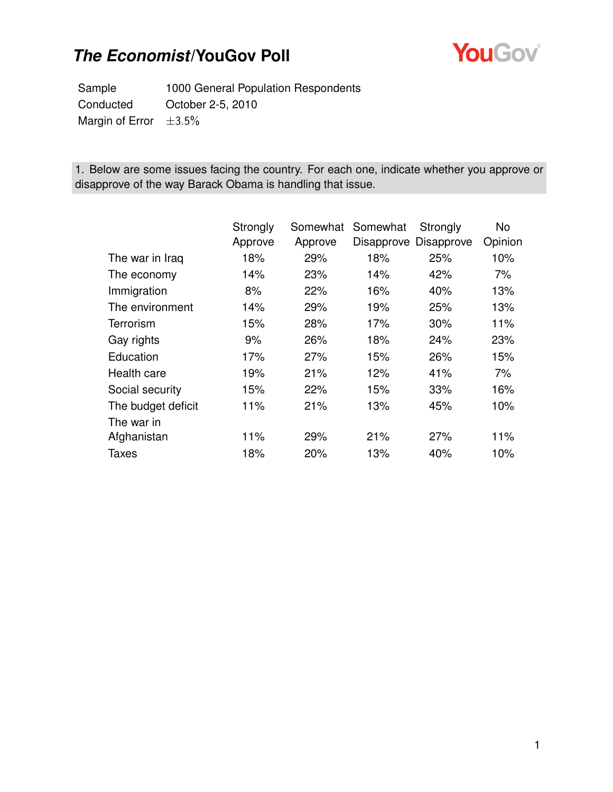

Sample 1000 General Population Respondents Conducted October 2-5, 2010 Margin of Error  $\pm 3.5\%$ 

1. Below are some issues facing the country. For each one, indicate whether you approve or disapprove of the way Barack Obama is handling that issue.

|                    | Strongly | Somewhat | Somewhat | Strongly              | No      |
|--------------------|----------|----------|----------|-----------------------|---------|
|                    | Approve  | Approve  |          | Disapprove Disapprove | Opinion |
| The war in Iraq    | 18%      | 29%      | 18%      | 25%                   | 10%     |
| The economy        | 14%      | 23%      | 14%      | 42%                   | 7%      |
| Immigration        | 8%       | 22%      | 16%      | 40%                   | 13%     |
| The environment    | 14%      | 29%      | 19%      | 25%                   | 13%     |
| Terrorism          | 15%      | 28%      | 17%      | 30%                   | 11%     |
| Gay rights         | 9%       | 26%      | 18%      | 24%                   | 23%     |
| Education          | 17%      | 27%      | 15%      | 26%                   | 15%     |
| Health care        | 19%      | 21%      | 12%      | 41%                   | 7%      |
| Social security    | 15%      | 22%      | 15%      | 33%                   | 16%     |
| The budget deficit | 11%      | 21%      | 13%      | 45%                   | 10%     |
| The war in         |          |          |          |                       |         |
| Afghanistan        | 11%      | 29%      | 21%      | 27%                   | 11%     |
| <b>Taxes</b>       | 18%      | 20%      | 13%      | 40%                   | 10%     |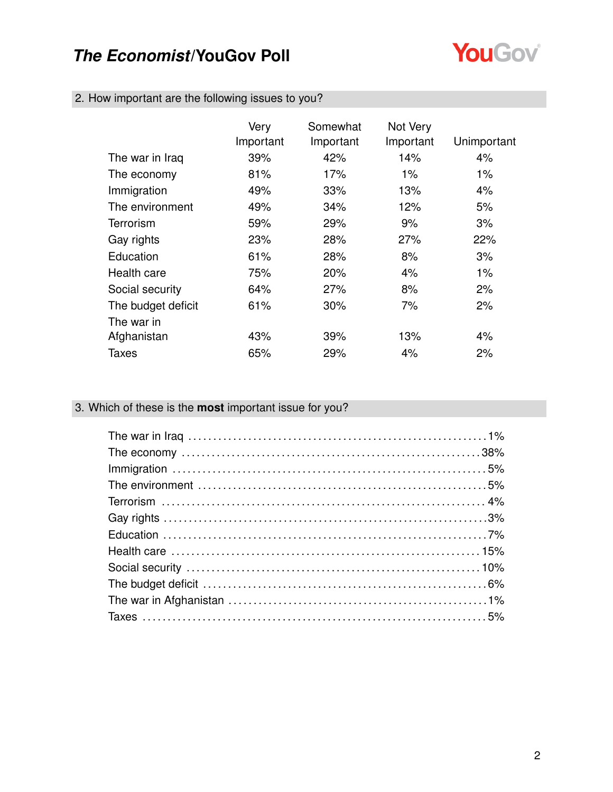

|  |  |  |  |  | 2. How important are the following issues to you? |  |
|--|--|--|--|--|---------------------------------------------------|--|
|--|--|--|--|--|---------------------------------------------------|--|

|                    | Very<br>Important | Somewhat<br>Important | Not Very<br>Important | Unimportant |
|--------------------|-------------------|-----------------------|-----------------------|-------------|
| The war in Iraq    | 39%               | 42%                   | 14%                   | 4%          |
| The economy        | 81%               | 17%                   | 1%                    | $1\%$       |
| Immigration        | 49%               | 33%                   | 13%                   | $4\%$       |
| The environment    | 49%               | 34%                   | 12%                   | 5%          |
| Terrorism          | 59%               | 29%                   | 9%                    | 3%          |
| Gay rights         | 23%               | 28%                   | 27%                   | 22%         |
| Education          | 61%               | 28%                   | 8%                    | 3%          |
| Health care        | 75%               | 20%                   | 4%                    | $1\%$       |
| Social security    | 64%               | 27%                   | 8%                    | 2%          |
| The budget deficit | 61%               | 30%                   | 7%                    | 2%          |
| The war in         |                   |                       |                       |             |
| Afghanistan        | 43%               | 39%                   | 13%                   | 4%          |
| Taxes              | 65%               | 29%                   | 4%                    | 2%          |

### 3. Which of these is the **most** important issue for you?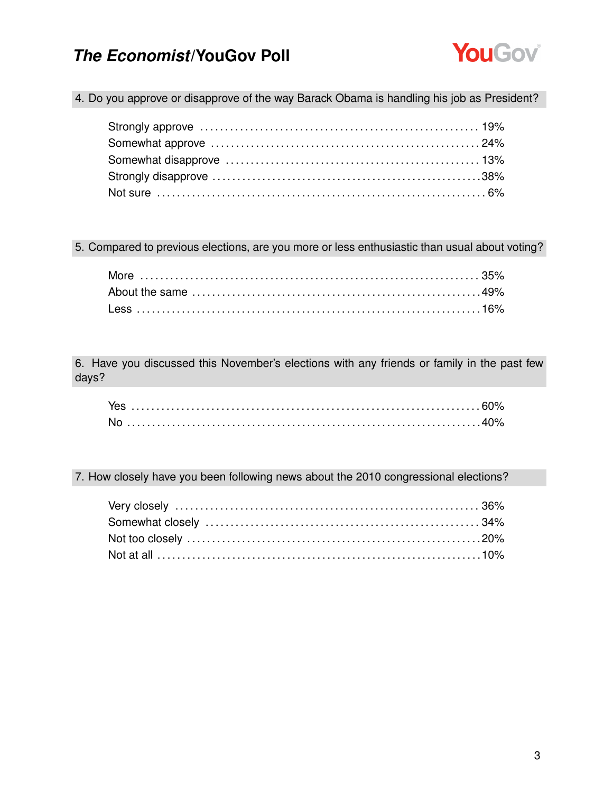

4. Do you approve or disapprove of the way Barack Obama is handling his job as President?

5. Compared to previous elections, are you more or less enthusiastic than usual about voting?

6. Have you discussed this November's elections with any friends or family in the past few days?

7. How closely have you been following news about the 2010 congressional elections?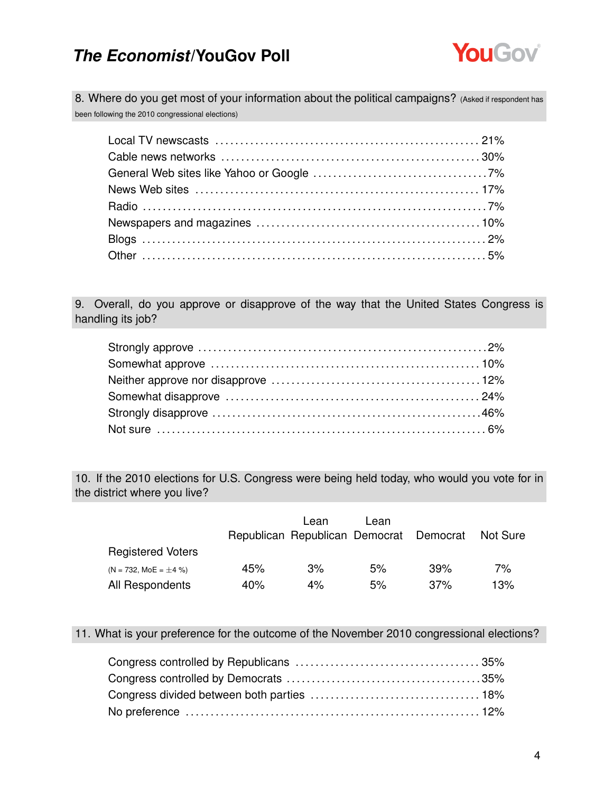

8. Where do you get most of your information about the political campaigns? (Asked if respondent has been following the 2010 congressional elections)

9. Overall, do you approve or disapprove of the way that the United States Congress is handling its job?

10. If the 2010 elections for U.S. Congress were being held today, who would you vote for in the district where you live?

|                             |     | Lean<br>Republican Republican Democrat Democrat | Lean |         | Not Sure |
|-----------------------------|-----|-------------------------------------------------|------|---------|----------|
| <b>Registered Voters</b>    |     |                                                 |      |         |          |
| $(N = 732, MOE = \pm 4\% )$ | 45% | 3%                                              | 5%   | 39%     | 7%       |
| All Respondents             | 40% | 4%                                              | 5%   | $.37\%$ | 13%      |

11. What is your preference for the outcome of the November 2010 congressional elections?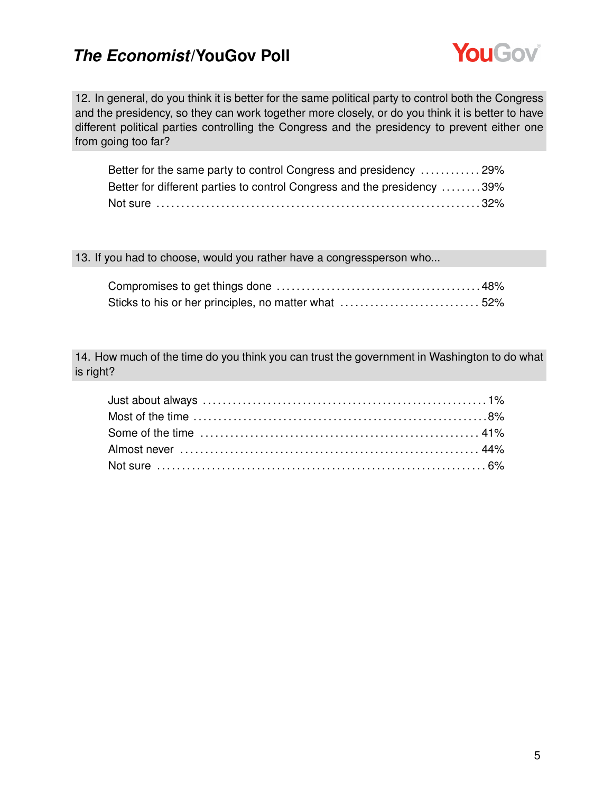

12. In general, do you think it is better for the same political party to control both the Congress and the presidency, so they can work together more closely, or do you think it is better to have different political parties controlling the Congress and the presidency to prevent either one from going too far?

| Better for the same party to control Congress and presidency  29%       |  |
|-------------------------------------------------------------------------|--|
| Better for different parties to control Congress and the presidency 39% |  |
|                                                                         |  |

#### 13. If you had to choose, would you rather have a congressperson who...

14. How much of the time do you think you can trust the government in Washington to do what is right?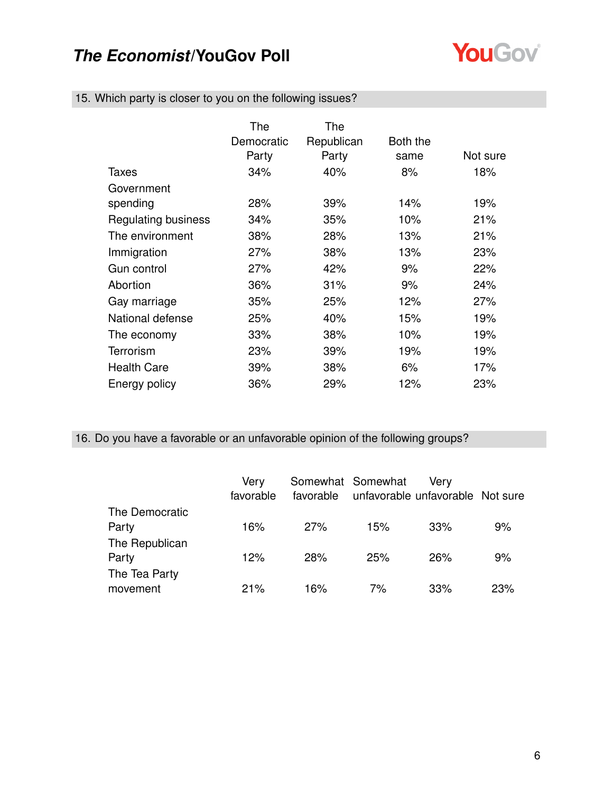

|  |  |  |  |  | 15. Which party is closer to you on the following issues? |  |
|--|--|--|--|--|-----------------------------------------------------------|--|
|--|--|--|--|--|-----------------------------------------------------------|--|

|                            | The<br>Democratic<br>Party | The<br>Republican<br>Party | Both the<br>same | Not sure |
|----------------------------|----------------------------|----------------------------|------------------|----------|
| Taxes                      | 34%                        | 40%                        | 8%               | 18%      |
| Government                 |                            |                            |                  |          |
| spending                   | 28%                        | 39%                        | 14%              | 19%      |
| <b>Regulating business</b> | 34%                        | 35%                        | 10%              | 21%      |
| The environment            | 38%                        | 28%                        | 13%              | 21%      |
| Immigration                | 27%                        | 38%                        | 13%              | 23%      |
| Gun control                | 27%                        | 42%                        | 9%               | 22%      |
| Abortion                   | 36%                        | 31%                        | 9%               | 24%      |
| Gay marriage               | 35%                        | 25%                        | 12%              | 27%      |
| National defense           | 25%                        | 40%                        | 15%              | 19%      |
| The economy                | 33%                        | 38%                        | 10%              | 19%      |
| Terrorism                  | 23%                        | 39%                        | 19%              | 19%      |
| <b>Health Care</b>         | 39%                        | 38%                        | 6%               | 17%      |
| Energy policy              | 36%                        | 29%                        | 12%              | 23%      |

### 16. Do you have a favorable or an unfavorable opinion of the following groups?

|                           | Very<br>favorable |            | Somewhat Somewhat<br>favorable unfavorable unfavorable Not sure | Verv |     |
|---------------------------|-------------------|------------|-----------------------------------------------------------------|------|-----|
| The Democratic<br>Party   | 16%               | 27%        | 15%                                                             | 33%  | 9%  |
| The Republican<br>Party   | 12%               | <b>28%</b> | 25%                                                             | 26%  | 9%  |
| The Tea Party<br>movement | 21%               | 16%        | 7%                                                              | 33%  | 23% |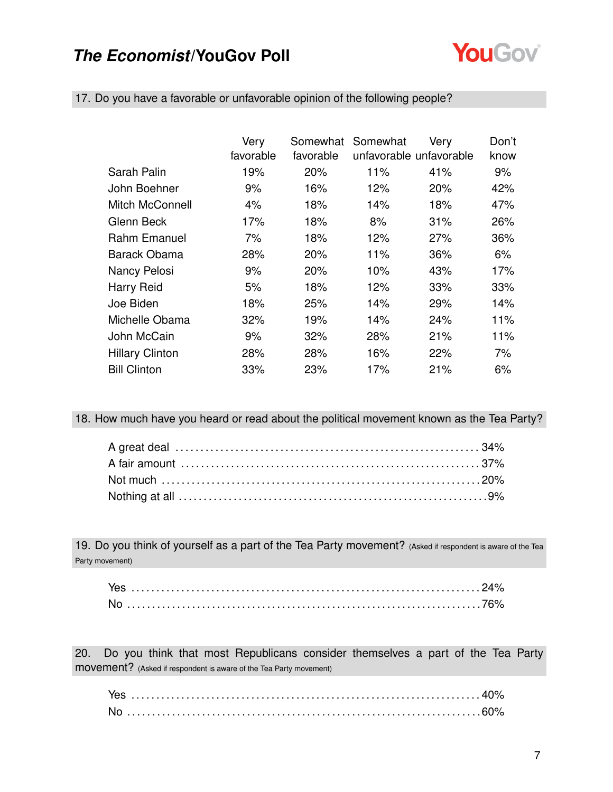

|                        | Very      |           | Somewhat Somewhat       | Very | Don't |
|------------------------|-----------|-----------|-------------------------|------|-------|
|                        | favorable | favorable | unfavorable unfavorable |      | know  |
| Sarah Palin            | 19%       | 20%       | 11%                     | 41%  | 9%    |
| John Boehner           | 9%        | 16%       | 12%                     | 20%  | 42%   |
| Mitch McConnell        | 4%        | 18%       | 14%                     | 18%  | 47%   |
| Glenn Beck             | 17%       | 18%       | 8%                      | 31%  | 26%   |
| Rahm Emanuel           | 7%        | 18%       | 12%                     | 27%  | 36%   |
| <b>Barack Obama</b>    | 28%       | 20%       | 11%                     | 36%  | 6%    |
| Nancy Pelosi           | 9%        | 20%       | 10%                     | 43%  | 17%   |
| <b>Harry Reid</b>      | 5%        | 18%       | 12%                     | 33%  | 33%   |
| Joe Biden              | 18%       | 25%       | 14%                     | 29%  | 14%   |
| Michelle Obama         | 32%       | 19%       | 14%                     | 24%  | 11%   |
| John McCain            | 9%        | 32%       | 28%                     | 21%  | 11%   |
| <b>Hillary Clinton</b> | 28%       | 28%       | 16%                     | 22%  | 7%    |
| <b>Bill Clinton</b>    | 33%       | 23%       | 17%                     | 21%  | 6%    |

17. Do you have a favorable or unfavorable opinion of the following people?

18. How much have you heard or read about the political movement known as the Tea Party?

19. Do you think of yourself as a part of the Tea Party movement? (Asked if respondent is aware of the Tea Party movement)

20. Do you think that most Republicans consider themselves a part of the Tea Party movement? (Asked if respondent is aware of the Tea Party movement)

| <b>No</b> |  |  |  |  |  |  |  |  |  |  |  |  |  |  |  |  |  |  |  |  |  |  |  |  |  |  |  |  |  |  |  |  |  |  |  |  |  |  |  |  |
|-----------|--|--|--|--|--|--|--|--|--|--|--|--|--|--|--|--|--|--|--|--|--|--|--|--|--|--|--|--|--|--|--|--|--|--|--|--|--|--|--|--|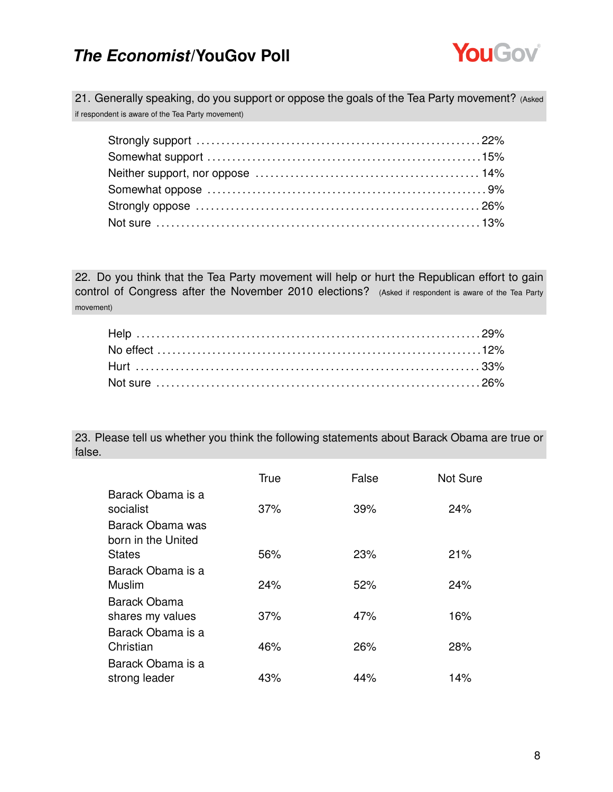

21. Generally speaking, do you support or oppose the goals of the Tea Party movement? (Asked if respondent is aware of the Tea Party movement)

22. Do you think that the Tea Party movement will help or hurt the Republican effort to gain control of Congress after the November 2010 elections? (Asked if respondent is aware of the Tea Party movement)

23. Please tell us whether you think the following statements about Barack Obama are true or false.

|                    | True | False | Not Sure |
|--------------------|------|-------|----------|
| Barack Obama is a  |      |       |          |
| socialist          | 37%  | 39%   | 24%      |
| Barack Obama was   |      |       |          |
| born in the United |      |       |          |
| <b>States</b>      | 56%  | 23%   | 21%      |
| Barack Obama is a  |      |       |          |
| Muslim             | 24%  | 52%   | 24%      |
| Barack Obama       |      |       |          |
| shares my values   | 37%  | 47%   | 16%      |
| Barack Obama is a  |      |       |          |
| Christian          | 46%  | 26%   | 28%      |
| Barack Obama is a  |      |       |          |
| strong leader      | 43%  | 44%   | 14%      |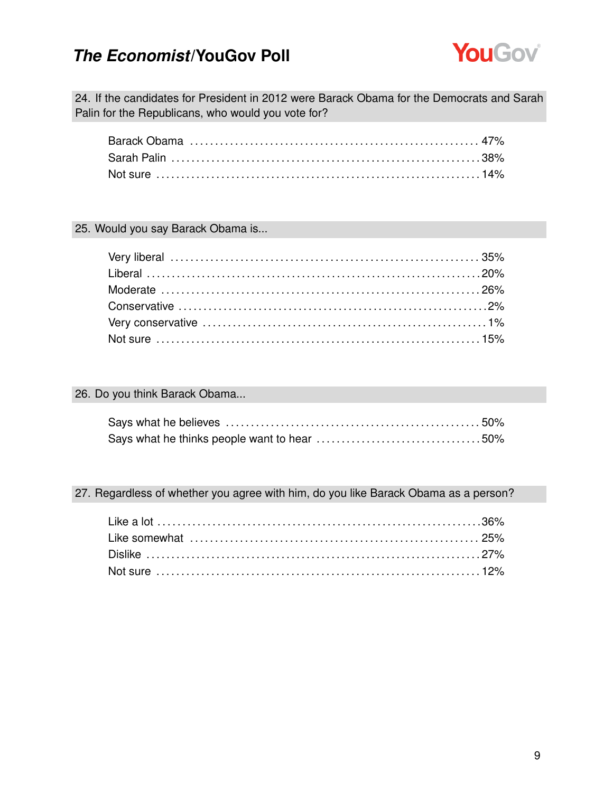

24. If the candidates for President in 2012 were Barack Obama for the Democrats and Sarah Palin for the Republicans, who would you vote for?

#### 25. Would you say Barack Obama is...

#### 26. Do you think Barack Obama...

#### 27. Regardless of whether you agree with him, do you like Barack Obama as a person?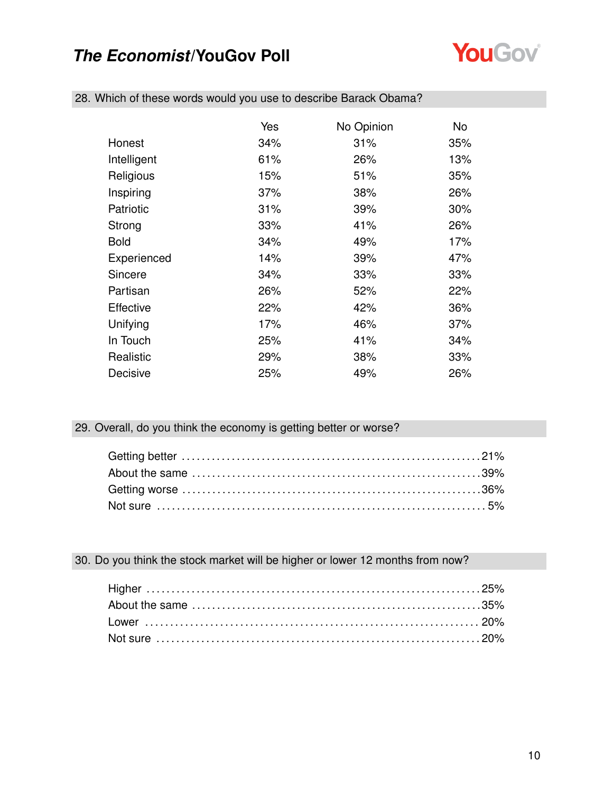

|             | Yes | No Opinion | No  |
|-------------|-----|------------|-----|
| Honest      | 34% | 31%        | 35% |
| Intelligent | 61% | 26%        | 13% |
| Religious   | 15% | 51%        | 35% |
| Inspiring   | 37% | 38%        | 26% |
| Patriotic   | 31% | 39%        | 30% |
| Strong      | 33% | 41%        | 26% |
| <b>Bold</b> | 34% | 49%        | 17% |
| Experienced | 14% | 39%        | 47% |
| Sincere     | 34% | 33%        | 33% |
| Partisan    | 26% | 52%        | 22% |
| Effective   | 22% | 42%        | 36% |
| Unifying    | 17% | 46%        | 37% |
| In Touch    | 25% | 41%        | 34% |
| Realistic   | 29% | 38%        | 33% |
| Decisive    | 25% | 49%        | 26% |

28. Which of these words would you use to describe Barack Obama?

#### 29. Overall, do you think the economy is getting better or worse?

#### 30. Do you think the stock market will be higher or lower 12 months from now?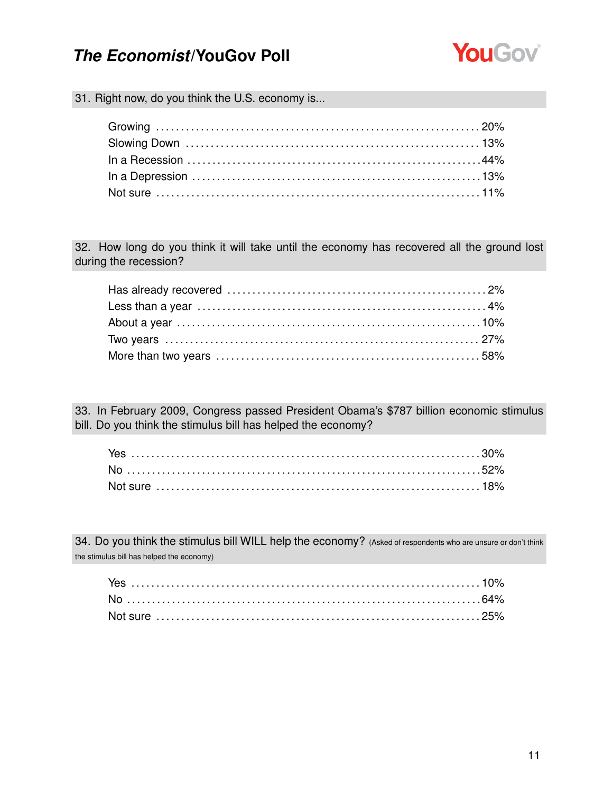

31. Right now, do you think the U.S. economy is...

32. How long do you think it will take until the economy has recovered all the ground lost during the recession?

33. In February 2009, Congress passed President Obama's \$787 billion economic stimulus bill. Do you think the stimulus bill has helped the economy?

34. Do you think the stimulus bill WILL help the economy? (Asked of respondents who are unsure or don't think the stimulus bill has helped the economy)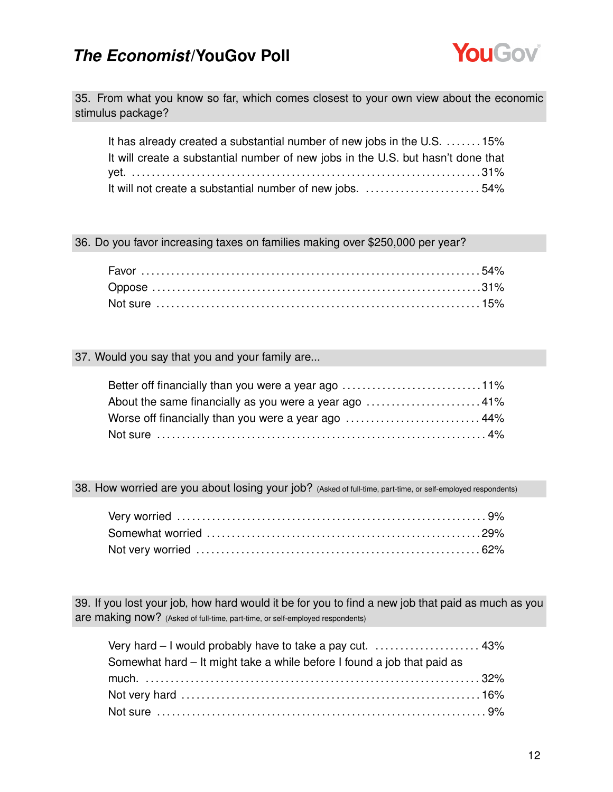

35. From what you know so far, which comes closest to your own view about the economic stimulus package?

| It has already created a substantial number of new jobs in the U.S. 15%          |  |
|----------------------------------------------------------------------------------|--|
| It will create a substantial number of new jobs in the U.S. but hasn't done that |  |
|                                                                                  |  |
| It will not create a substantial number of new jobs. 54%                         |  |

36. Do you favor increasing taxes on families making over \$250,000 per year?

#### 37. Would you say that you and your family are...

| Better off financially than you were a year ago 11% |  |
|-----------------------------------------------------|--|
|                                                     |  |
| Worse off financially than you were a year ago  44% |  |
|                                                     |  |

38. How worried are you about losing your job? (Asked of full-time, part-time, or self-employed respondents)

39. If you lost your job, how hard would it be for you to find a new job that paid as much as you are making now? (Asked of full-time, part-time, or self-employed respondents)

| Very hard - I would probably have to take a pay cut.  43%               |  |
|-------------------------------------------------------------------------|--|
| Somewhat hard – It might take a while before I found a job that paid as |  |
|                                                                         |  |
|                                                                         |  |
|                                                                         |  |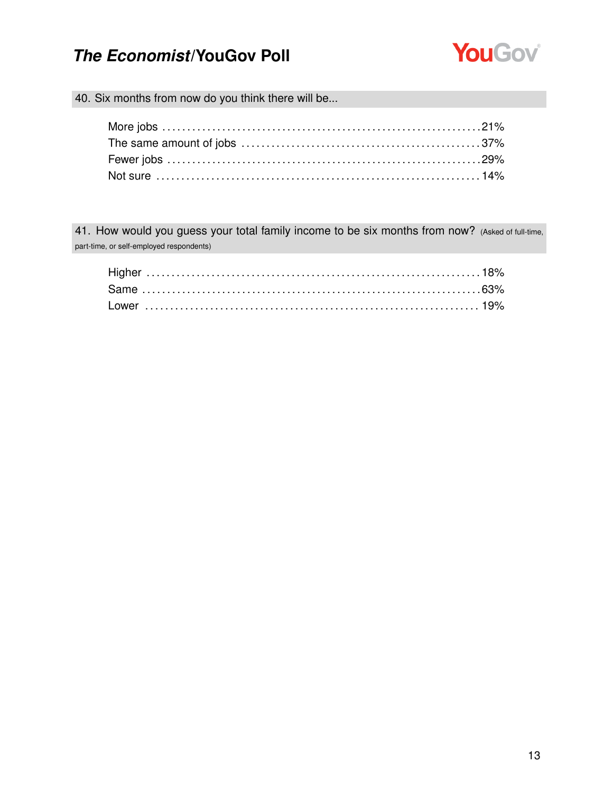

40. Six months from now do you think there will be...

41. How would you guess your total family income to be six months from now? (Asked of full-time, part-time, or self-employed respondents)